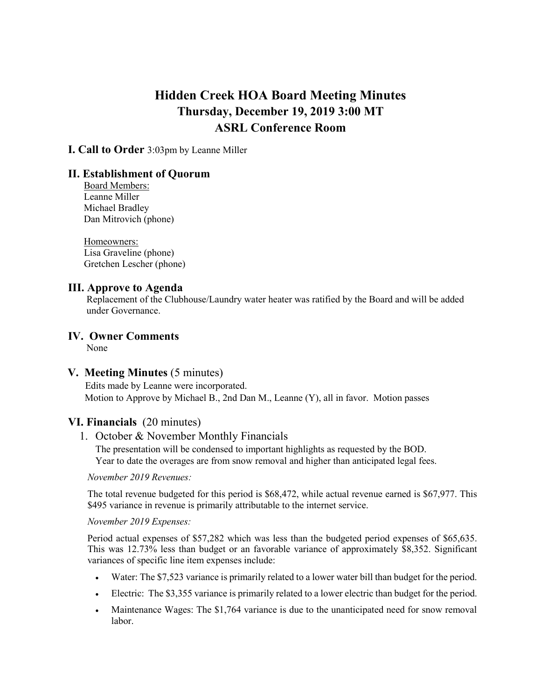# **Hidden Creek HOA Board Meeting Minutes Thursday, December 19, 2019 3:00 MT ASRL Conference Room**

**I. Call to Order** 3:03pm by Leanne Miller

## **II. Establishment of Quorum**

Board Members: Leanne Miller Michael Bradley Dan Mitrovich (phone)

Homeowners: Lisa Graveline (phone) Gretchen Lescher (phone)

## **III. Approve to Agenda**

Replacement of the Clubhouse/Laundry water heater was ratified by the Board and will be added under Governance.

# **IV. Owner Comments**

None

## **V. Meeting Minutes** (5 minutes)

Edits made by Leanne were incorporated. Motion to Approve by Michael B., 2nd Dan M., Leanne (Y), all in favor. Motion passes

#### **VI. Financials** (20 minutes)

#### 1. October & November Monthly Financials

The presentation will be condensed to important highlights as requested by the BOD. Year to date the overages are from snow removal and higher than anticipated legal fees.

#### *November 2019 Revenues:*

The total revenue budgeted for this period is \$68,472, while actual revenue earned is \$67,977. This \$495 variance in revenue is primarily attributable to the internet service.

#### *November 2019 Expenses:*

Period actual expenses of \$57,282 which was less than the budgeted period expenses of \$65,635. This was 12.73% less than budget or an favorable variance of approximately \$8,352. Significant variances of specific line item expenses include:

- Water: The \$7,523 variance is primarily related to a lower water bill than budget for the period.
- Electric: The \$3,355 variance is primarily related to a lower electric than budget for the period.
- Maintenance Wages: The \$1,764 variance is due to the unanticipated need for snow removal labor.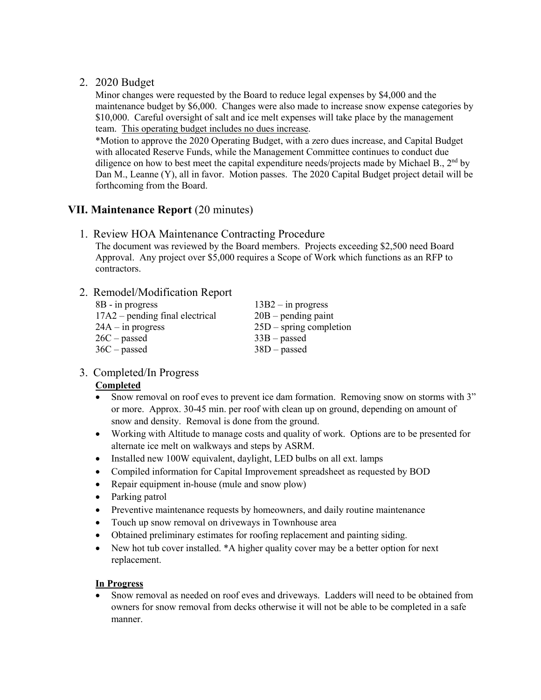## 2. 2020 Budget

Minor changes were requested by the Board to reduce legal expenses by \$4,000 and the maintenance budget by \$6,000. Changes were also made to increase snow expense categories by \$10,000. Careful oversight of salt and ice melt expenses will take place by the management team. This operating budget includes no dues increase.

\*Motion to approve the 2020 Operating Budget, with a zero dues increase, and Capital Budget with allocated Reserve Funds, while the Management Committee continues to conduct due diligence on how to best meet the capital expenditure needs/projects made by Michael B.,  $2<sup>nd</sup>$  by Dan M., Leanne (Y), all in favor. Motion passes. The 2020 Capital Budget project detail will be forthcoming from the Board.

## **VII. Maintenance Report** (20 minutes)

## 1. Review HOA Maintenance Contracting Procedure

The document was reviewed by the Board members. Projects exceeding \$2,500 need Board Approval. Any project over \$5,000 requires a Scope of Work which functions as an RFP to contractors.

## 2. Remodel/Modification Report

| $8B - in progress$                | $13B2 - in progress$      |
|-----------------------------------|---------------------------|
| $17A2$ – pending final electrical | $20B$ – pending paint     |
| $24A - in progress$               | $25D$ – spring completion |
| $26C$ – passed                    | $33B$ – passed            |
| $36C$ – passed                    | $38D$ – passed            |
|                                   |                           |

## 3. Completed/In Progress

#### **Completed**

- Snow removal on roof eves to prevent ice dam formation. Removing snow on storms with 3" or more. Approx. 30-45 min. per roof with clean up on ground, depending on amount of snow and density. Removal is done from the ground.
- Working with Altitude to manage costs and quality of work. Options are to be presented for alternate ice melt on walkways and steps by ASRM.
- Installed new 100W equivalent, daylight, LED bulbs on all ext. lamps
- Compiled information for Capital Improvement spreadsheet as requested by BOD
- Repair equipment in-house (mule and snow plow)
- Parking patrol
- Preventive maintenance requests by homeowners, and daily routine maintenance
- Touch up snow removal on driveways in Townhouse area
- Obtained preliminary estimates for roofing replacement and painting siding.
- New hot tub cover installed. \*A higher quality cover may be a better option for next replacement.

#### **In Progress**

• Snow removal as needed on roof eves and driveways. Ladders will need to be obtained from owners for snow removal from decks otherwise it will not be able to be completed in a safe manner.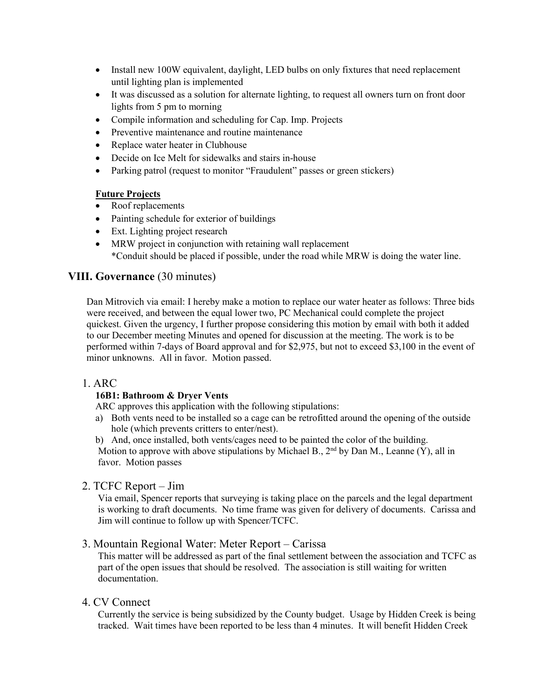- Install new 100W equivalent, daylight, LED bulbs on only fixtures that need replacement until lighting plan is implemented
- It was discussed as a solution for alternate lighting, to request all owners turn on front door lights from 5 pm to morning
- Compile information and scheduling for Cap. Imp. Projects
- Preventive maintenance and routine maintenance
- Replace water heater in Clubhouse
- Decide on Ice Melt for sidewalks and stairs in-house
- Parking patrol (request to monitor "Fraudulent" passes or green stickers)

#### **Future Projects**

- Roof replacements
- Painting schedule for exterior of buildings
- Ext. Lighting project research
- MRW project in conjunction with retaining wall replacement \*Conduit should be placed if possible, under the road while MRW is doing the water line.

# **VIII. Governance** (30 minutes)

Dan Mitrovich via email: I hereby make a motion to replace our water heater as follows: Three bids were received, and between the equal lower two, PC Mechanical could complete the project quickest. Given the urgency, I further propose considering this motion by email with both it added to our December meeting Minutes and opened for discussion at the meeting. The work is to be performed within 7-days of Board approval and for \$2,975, but not to exceed \$3,100 in the event of minor unknowns. All in favor. Motion passed.

#### 1. ARC

#### **16B1: Bathroom & Dryer Vents**

ARC approves this application with the following stipulations:

- a) Both vents need to be installed so a cage can be retrofitted around the opening of the outside hole (which prevents critters to enter/nest).
- b) And, once installed, both vents/cages need to be painted the color of the building.

Motion to approve with above stipulations by Michael B.,  $2<sup>nd</sup>$  by Dan M., Leanne (Y), all in favor. Motion passes

#### 2. TCFC Report – Jim

Via email, Spencer reports that surveying is taking place on the parcels and the legal department is working to draft documents. No time frame was given for delivery of documents. Carissa and Jim will continue to follow up with Spencer/TCFC.

## 3. Mountain Regional Water: Meter Report – Carissa

This matter will be addressed as part of the final settlement between the association and TCFC as part of the open issues that should be resolved. The association is still waiting for written documentation.

#### 4. CV Connect

Currently the service is being subsidized by the County budget. Usage by Hidden Creek is being tracked. Wait times have been reported to be less than 4 minutes. It will benefit Hidden Creek